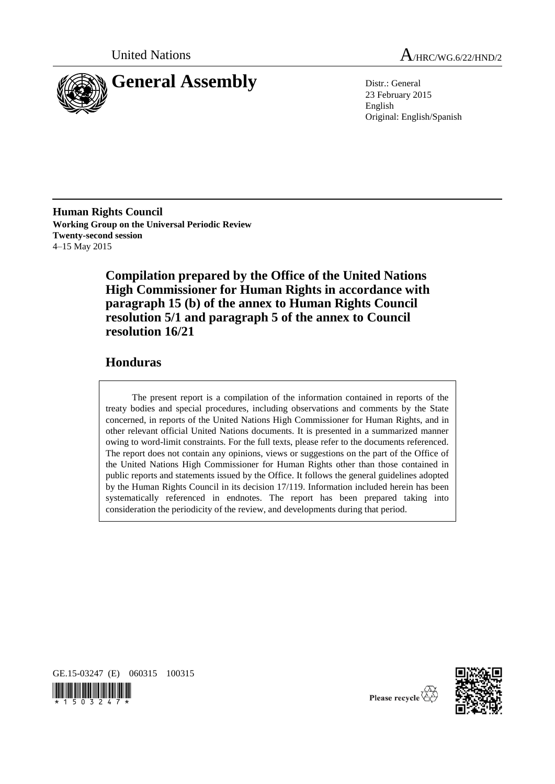

United Nations A<sub>/HRC/WG.6/22/HND/2</sub>

23 February 2015 English Original: English/Spanish

**Human Rights Council Working Group on the Universal Periodic Review Twenty-second session** 4–15 May 2015

> **Compilation prepared by the Office of the United Nations High Commissioner for Human Rights in accordance with paragraph 15 (b) of the annex to Human Rights Council resolution 5/1 and paragraph 5 of the annex to Council resolution 16/21**

## **Honduras**

The present report is a compilation of the information contained in reports of the treaty bodies and special procedures, including observations and comments by the State concerned, in reports of the United Nations High Commissioner for Human Rights, and in other relevant official United Nations documents. It is presented in a summarized manner owing to word-limit constraints. For the full texts, please refer to the documents referenced. The report does not contain any opinions, views or suggestions on the part of the Office of the United Nations High Commissioner for Human Rights other than those contained in public reports and statements issued by the Office. It follows the general guidelines adopted by the Human Rights Council in its decision 17/119. Information included herein has been systematically referenced in endnotes. The report has been prepared taking into consideration the periodicity of the review, and developments during that period.







Please recycle  $\overleftrightarrow{C}$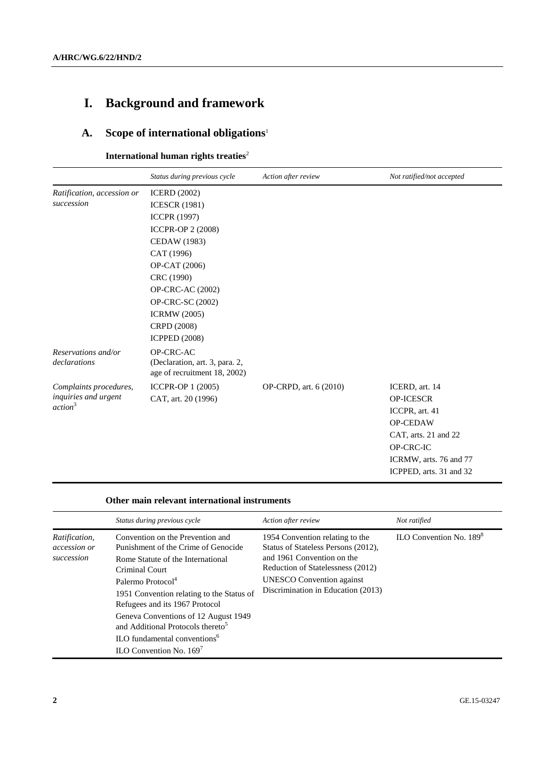# **I. Background and framework**

## **A. Scope of international obligations**<sup>1</sup>

**International human rights treaties<sup>2</sup>** 

|                                                                       | Status during previous cycle                                                                                                                                                                                                                                                    | Action after review    | Not ratified/not accepted                                                                                                              |
|-----------------------------------------------------------------------|---------------------------------------------------------------------------------------------------------------------------------------------------------------------------------------------------------------------------------------------------------------------------------|------------------------|----------------------------------------------------------------------------------------------------------------------------------------|
| Ratification, accession or<br>succession                              | <b>ICERD</b> (2002)<br><b>ICESCR (1981)</b><br><b>ICCPR (1997)</b><br><b>ICCPR-OP 2 (2008)</b><br><b>CEDAW</b> (1983)<br>CAT (1996)<br>OP-CAT (2006)<br>CRC (1990)<br>OP-CRC-AC (2002)<br><b>OP-CRC-SC (2002)</b><br><b>ICRMW</b> (2005)<br>CRPD (2008)<br><b>ICPPED (2008)</b> |                        |                                                                                                                                        |
| Reservations and/or<br>declarations                                   | OP-CRC-AC<br>(Declaration, art. 3, para. 2,<br>age of recruitment 18, 2002)                                                                                                                                                                                                     |                        |                                                                                                                                        |
| Complaints procedures,<br>inquiries and urgent<br>action <sup>3</sup> | ICCPR-OP 1 (2005)<br>CAT, art. 20 (1996)                                                                                                                                                                                                                                        | OP-CRPD, art. 6 (2010) | ICERD, art. 14<br><b>OP-ICESCR</b><br>ICCPR, art. 41<br><b>OP-CEDAW</b><br>CAT, arts. 21 and 22<br>OP-CRC-IC<br>ICRMW, arts. 76 and 77 |

#### **Other main relevant international instruments**

|                                             | Status during previous cycle                                                                                                                                                                                                                                                                                                                                                                                         | Action after review                                                                                                                                                                                                 | Not ratified                        |
|---------------------------------------------|----------------------------------------------------------------------------------------------------------------------------------------------------------------------------------------------------------------------------------------------------------------------------------------------------------------------------------------------------------------------------------------------------------------------|---------------------------------------------------------------------------------------------------------------------------------------------------------------------------------------------------------------------|-------------------------------------|
| Ratification,<br>accession or<br>succession | Convention on the Prevention and<br>Punishment of the Crime of Genocide<br>Rome Statute of the International<br>Criminal Court<br>Palermo Protocol <sup>4</sup><br>1951 Convention relating to the Status of<br>Refugees and its 1967 Protocol<br>Geneva Conventions of 12 August 1949<br>and Additional Protocols thereto <sup>5</sup><br>ILO fundamental conventions <sup>6</sup><br>$II.O$ Convention No. $169^7$ | 1954 Convention relating to the<br>Status of Stateless Persons (2012),<br>and 1961 Convention on the<br>Reduction of Statelessness (2012)<br><b>UNESCO</b> Convention against<br>Discrimination in Education (2013) | ILO Convention No. 189 <sup>8</sup> |

ICPPED, arts. 31 and 32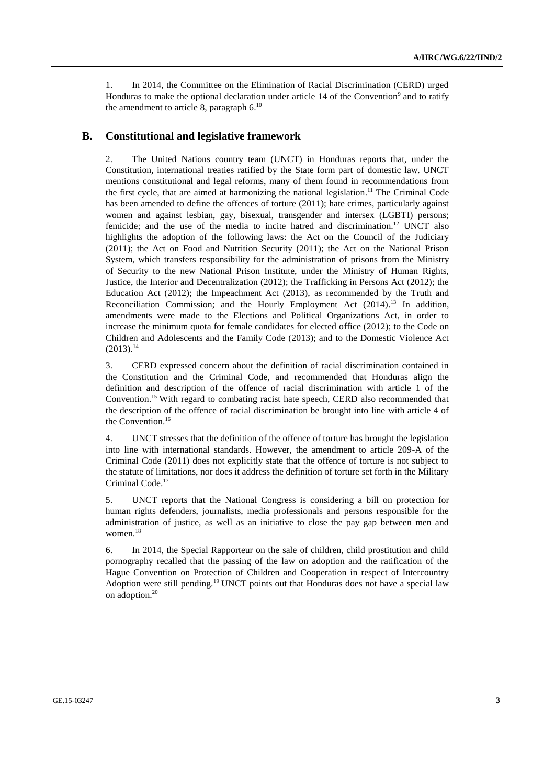1. In 2014, the Committee on the Elimination of Racial Discrimination (CERD) urged Honduras to make the optional declaration under article 14 of the Convention<sup>9</sup> and to ratify the amendment to article 8, paragraph  $6.^{10}$ 

#### **B. Constitutional and legislative framework**

2. The United Nations country team (UNCT) in Honduras reports that, under the Constitution, international treaties ratified by the State form part of domestic law. UNCT mentions constitutional and legal reforms, many of them found in recommendations from the first cycle, that are aimed at harmonizing the national legislation.<sup>11</sup> The Criminal Code has been amended to define the offences of torture (2011); hate crimes, particularly against women and against lesbian, gay, bisexual, transgender and intersex (LGBTI) persons; femicide; and the use of the media to incite hatred and discrimination.<sup>12</sup> UNCT also highlights the adoption of the following laws: the Act on the Council of the Judiciary (2011); the Act on Food and Nutrition Security (2011); the Act on the National Prison System, which transfers responsibility for the administration of prisons from the Ministry of Security to the new National Prison Institute, under the Ministry of Human Rights, Justice, the Interior and Decentralization (2012); the Trafficking in Persons Act (2012); the Education Act (2012); the Impeachment Act (2013), as recommended by the Truth and Reconciliation Commission; and the Hourly Employment Act (2014).<sup>13</sup> In addition, amendments were made to the Elections and Political Organizations Act, in order to increase the minimum quota for female candidates for elected office (2012); to the Code on Children and Adolescents and the Family Code (2013); and to the Domestic Violence Act  $(2013).^{14}$ 

3. CERD expressed concern about the definition of racial discrimination contained in the Constitution and the Criminal Code, and recommended that Honduras align the definition and description of the offence of racial discrimination with article 1 of the Convention. <sup>15</sup> With regard to combating racist hate speech, CERD also recommended that the description of the offence of racial discrimination be brought into line with article 4 of the Convention. 16

4. UNCT stresses that the definition of the offence of torture has brought the legislation into line with international standards. However, the amendment to article 209-A of the Criminal Code (2011) does not explicitly state that the offence of torture is not subject to the statute of limitations, nor does it address the definition of torture set forth in the Military Criminal Code. 17

5. UNCT reports that the National Congress is considering a bill on protection for human rights defenders, journalists, media professionals and persons responsible for the administration of justice, as well as an initiative to close the pay gap between men and women. 18

6. In 2014, the Special Rapporteur on the sale of children, child prostitution and child pornography recalled that the passing of the law on adoption and the ratification of the Hague Convention on Protection of Children and Cooperation in respect of Intercountry Adoption were still pending.<sup>19</sup> UNCT points out that Honduras does not have a special law on adoption.<sup>20</sup>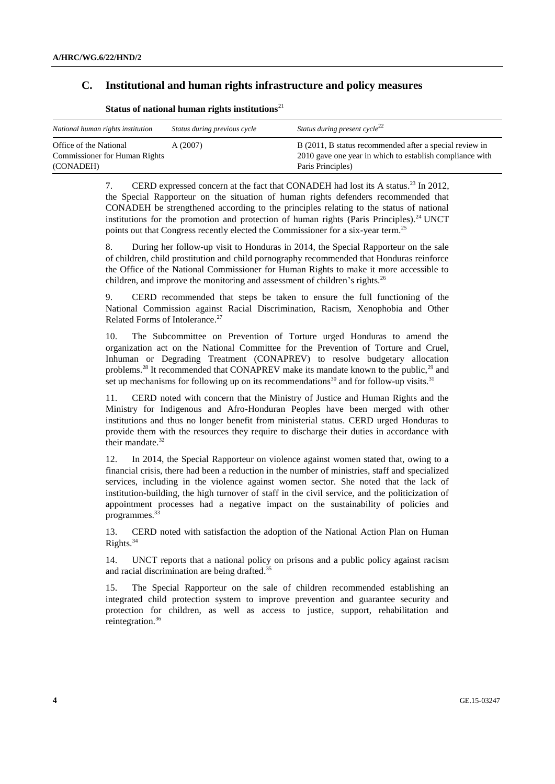## **C. Institutional and human rights infrastructure and policy measures**

| National human rights institution                              | Status during previous cycle | Status during present $cycle^{22}$                                                                                  |
|----------------------------------------------------------------|------------------------------|---------------------------------------------------------------------------------------------------------------------|
| Office of the National<br><b>Commissioner for Human Rights</b> | A(2007)                      | B (2011, B status recommended after a special review in<br>2010 gave one year in which to establish compliance with |
| (CONADEH)                                                      |                              | Paris Principles)                                                                                                   |

Status of national human rights institutions<sup>21</sup>

7. CERD expressed concern at the fact that CONADEH had lost its A status.<sup>23</sup> In 2012, the Special Rapporteur on the situation of human rights defenders recommended that CONADEH be strengthened according to the principles relating to the status of national institutions for the promotion and protection of human rights (Paris Principles).<sup>24</sup> UNCT points out that Congress recently elected the Commissioner for a six-year term.<sup>25</sup>

8. During her follow-up visit to Honduras in 2014, the Special Rapporteur on the sale of children, child prostitution and child pornography recommended that Honduras reinforce the Office of the National Commissioner for Human Rights to make it more accessible to children, and improve the monitoring and assessment of children's rights.<sup>26</sup>

9. CERD recommended that steps be taken to ensure the full functioning of the National Commission against Racial Discrimination, Racism, Xenophobia and Other Related Forms of Intolerance. 27

10. The Subcommittee on Prevention of Torture urged Honduras to amend the organization act on the National Committee for the Prevention of Torture and Cruel, Inhuman or Degrading Treatment (CONAPREV) to resolve budgetary allocation problems.<sup>28</sup> It recommended that CONAPREV make its mandate known to the public,<sup>29</sup> and set up mechanisms for following up on its recommendations<sup>30</sup> and for follow-up visits.<sup>31</sup>

11. CERD noted with concern that the Ministry of Justice and Human Rights and the Ministry for Indigenous and Afro-Honduran Peoples have been merged with other institutions and thus no longer benefit from ministerial status. CERD urged Honduras to provide them with the resources they require to discharge their duties in accordance with their mandate. 32

12. In 2014, the Special Rapporteur on violence against women stated that, owing to a financial crisis, there had been a reduction in the number of ministries, staff and specialized services, including in the violence against women sector. She noted that the lack of institution-building, the high turnover of staff in the civil service, and the politicization of appointment processes had a negative impact on the sustainability of policies and programmes.<sup>33</sup>

13. CERD noted with satisfaction the adoption of the National Action Plan on Human Rights. 34

14. UNCT reports that a national policy on prisons and a public policy against racism and racial discrimination are being drafted. 35

15. The Special Rapporteur on the sale of children recommended establishing an integrated child protection system to improve prevention and guarantee security and protection for children, as well as access to justice, support, rehabilitation and reintegration. $36$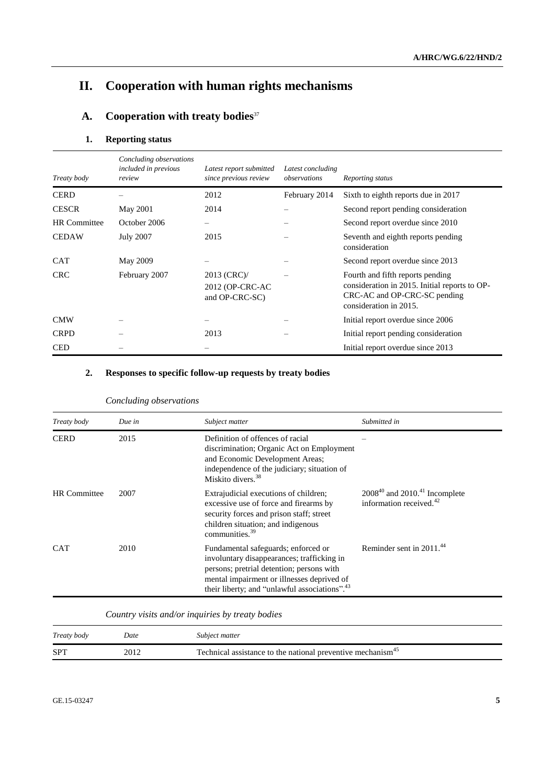## **II. Cooperation with human rights mechanisms**

## **A. Cooperation with treaty bodies**<sup>37</sup>

## **1. Reporting status**

| Treaty body         | Concluding observations<br>included in previous<br>review | Latest report submitted<br>since previous review | Latest concluding<br>observations | Reporting status                                                                                                                            |
|---------------------|-----------------------------------------------------------|--------------------------------------------------|-----------------------------------|---------------------------------------------------------------------------------------------------------------------------------------------|
| <b>CERD</b>         |                                                           | 2012                                             | February 2014                     | Sixth to eighth reports due in 2017                                                                                                         |
| <b>CESCR</b>        | <b>May 2001</b>                                           | 2014                                             |                                   | Second report pending consideration                                                                                                         |
| <b>HR</b> Committee | October 2006                                              |                                                  |                                   | Second report overdue since 2010                                                                                                            |
| <b>CEDAW</b>        | <b>July 2007</b>                                          | 2015                                             |                                   | Seventh and eighth reports pending<br>consideration                                                                                         |
| <b>CAT</b>          | May 2009                                                  |                                                  |                                   | Second report overdue since 2013                                                                                                            |
| <b>CRC</b>          | February 2007                                             | 2013 (CRC)/<br>2012 (OP-CRC-AC<br>and OP-CRC-SC) |                                   | Fourth and fifth reports pending<br>consideration in 2015. Initial reports to OP-<br>CRC-AC and OP-CRC-SC pending<br>consideration in 2015. |
| <b>CMW</b>          |                                                           |                                                  |                                   | Initial report overdue since 2006                                                                                                           |
| <b>CRPD</b>         |                                                           | 2013                                             |                                   | Initial report pending consideration                                                                                                        |
| <b>CED</b>          |                                                           |                                                  |                                   | Initial report overdue since 2013                                                                                                           |

## **2. Responses to specific follow-up requests by treaty bodies**

| Treaty body         | Due in | Subject matter                                                                                                                                                                                                                            | Submitted in                                                                |
|---------------------|--------|-------------------------------------------------------------------------------------------------------------------------------------------------------------------------------------------------------------------------------------------|-----------------------------------------------------------------------------|
| <b>CERD</b>         | 2015   | Definition of offences of racial<br>discrimination; Organic Act on Employment<br>and Economic Development Areas;<br>independence of the judiciary; situation of<br>Miskito divers. <sup>38</sup>                                          |                                                                             |
| <b>HR</b> Committee | 2007   | Extrajudicial executions of children;<br>excessive use of force and firearms by<br>security forces and prison staff; street<br>children situation; and indigenous<br>communities. <sup>39</sup>                                           | $2008^{40}$ and $2010.41$ Incomplete<br>information received. <sup>42</sup> |
| <b>CAT</b>          | 2010   | Fundamental safeguards; enforced or<br>involuntary disappearances; trafficking in<br>persons; pretrial detention; persons with<br>mental impairment or illnesses deprived of<br>their liberty; and "unlawful associations". <sup>43</sup> | Reminder sent in $2011^{44}$                                                |

#### *Concluding observations*

*Country visits and/or inquiries by treaty bodies*

| Treaty body | Date | Subject matter                                                          |
|-------------|------|-------------------------------------------------------------------------|
| <b>SPT</b>  | 2012 | Technical assistance to the national preventive mechanism <sup>45</sup> |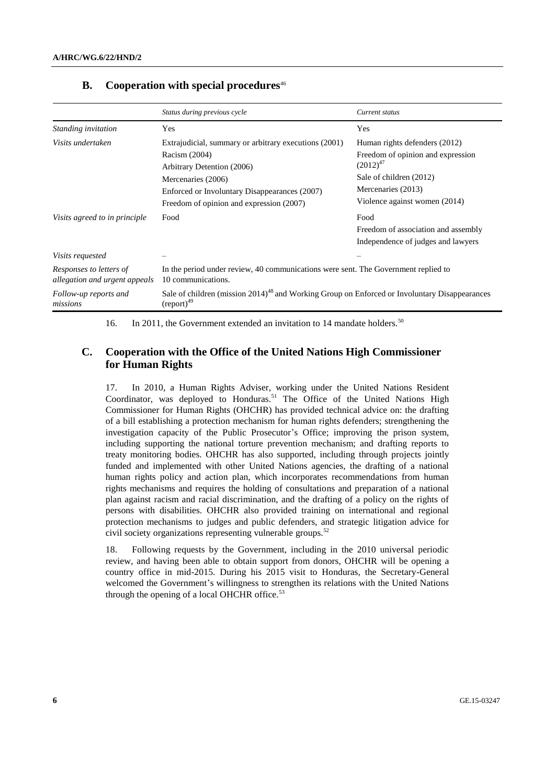|                                                          | Status during previous cycle                                                                                                 | Current status                                     |
|----------------------------------------------------------|------------------------------------------------------------------------------------------------------------------------------|----------------------------------------------------|
| Standing invitation                                      | Yes                                                                                                                          | Yes                                                |
| Visits undertaken                                        | Extrajudicial, summary or arbitrary executions (2001)                                                                        | Human rights defenders (2012)                      |
|                                                          | Racism (2004)<br>Arbitrary Detention (2006)                                                                                  | Freedom of opinion and expression<br>$(2012)^{47}$ |
|                                                          | Mercenaries (2006)                                                                                                           | Sale of children (2012)                            |
|                                                          | Enforced or Involuntary Disappearances (2007)                                                                                | Mercenaries (2013)                                 |
|                                                          | Freedom of opinion and expression (2007)                                                                                     | Violence against women (2014)                      |
| Visits agreed to in principle                            | Food                                                                                                                         | Food                                               |
|                                                          |                                                                                                                              | Freedom of association and assembly                |
|                                                          |                                                                                                                              | Independence of judges and lawyers                 |
| <i>Visits requested</i>                                  |                                                                                                                              |                                                    |
| Responses to letters of<br>allegation and urgent appeals | In the period under review, 40 communications were sent. The Government replied to<br>10 communications.                     |                                                    |
| Follow-up reports and<br>missions                        | Sale of children (mission 2014) <sup>48</sup> and Working Group on Enforced or Involuntary Disappearances<br>$(report)^{49}$ |                                                    |

#### **B. Cooperation with special procedures**<sup>46</sup>

16. In 2011, the Government extended an invitation to 14 mandate holders.<sup>50</sup>

## **C. Cooperation with the Office of the United Nations High Commissioner for Human Rights**

17. In 2010, a Human Rights Adviser, working under the United Nations Resident Coordinator, was deployed to Honduras.<sup>51</sup> The Office of the United Nations High Commissioner for Human Rights (OHCHR) has provided technical advice on: the drafting of a bill establishing a protection mechanism for human rights defenders; strengthening the investigation capacity of the Public Prosecutor's Office; improving the prison system, including supporting the national torture prevention mechanism; and drafting reports to treaty monitoring bodies. OHCHR has also supported, including through projects jointly funded and implemented with other United Nations agencies, the drafting of a national human rights policy and action plan, which incorporates recommendations from human rights mechanisms and requires the holding of consultations and preparation of a national plan against racism and racial discrimination, and the drafting of a policy on the rights of persons with disabilities. OHCHR also provided training on international and regional protection mechanisms to judges and public defenders, and strategic litigation advice for civil society organizations representing vulnerable groups.<sup>52</sup>

18. Following requests by the Government, including in the 2010 universal periodic review, and having been able to obtain support from donors, OHCHR will be opening a country office in mid-2015. During his 2015 visit to Honduras, the Secretary-General welcomed the Government's willingness to strengthen its relations with the United Nations through the opening of a local OHCHR office.<sup>53</sup>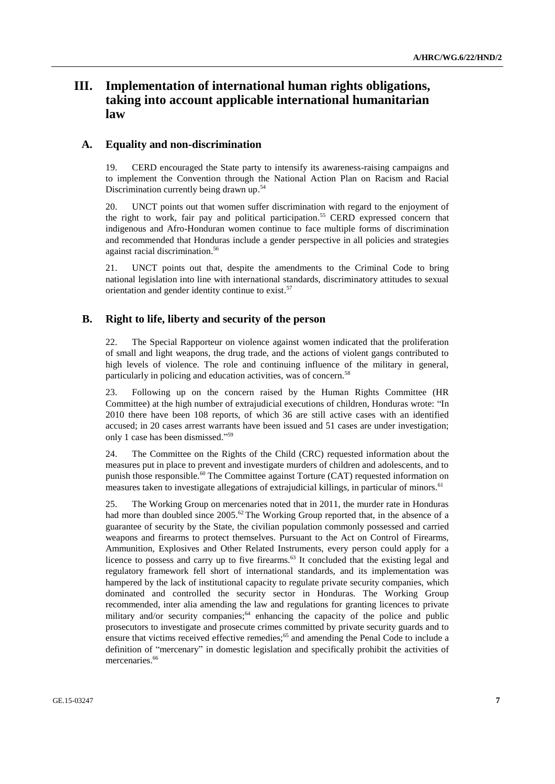## **III. Implementation of international human rights obligations, taking into account applicable international humanitarian law**

### **A. Equality and non-discrimination**

CERD encouraged the State party to intensify its awareness-raising campaigns and to implement the Convention through the National Action Plan on Racism and Racial Discrimination currently being drawn up.<sup>54</sup>

20. UNCT points out that women suffer discrimination with regard to the enjoyment of the right to work, fair pay and political participation. <sup>55</sup> CERD expressed concern that indigenous and Afro-Honduran women continue to face multiple forms of discrimination and recommended that Honduras include a gender perspective in all policies and strategies against racial discrimination. 56

21. UNCT points out that, despite the amendments to the Criminal Code to bring national legislation into line with international standards, discriminatory attitudes to sexual orientation and gender identity continue to exist.<sup>57</sup>

#### **B. Right to life, liberty and security of the person**

22. The Special Rapporteur on violence against women indicated that the proliferation of small and light weapons, the drug trade, and the actions of violent gangs contributed to high levels of violence. The role and continuing influence of the military in general, particularly in policing and education activities, was of concern.<sup>58</sup>

23. Following up on the concern raised by the Human Rights Committee (HR Committee) at the high number of extrajudicial executions of children, Honduras wrote: "In 2010 there have been 108 reports, of which 36 are still active cases with an identified accused; in 20 cases arrest warrants have been issued and 51 cases are under investigation; only 1 case has been dismissed." 59

24. The Committee on the Rights of the Child (CRC) requested information about the measures put in place to prevent and investigate murders of children and adolescents, and to punish those responsible.<sup>60</sup> The Committee against Torture (CAT) requested information on measures taken to investigate allegations of extrajudicial killings, in particular of minors.<sup>61</sup>

25. The Working Group on mercenaries noted that in 2011, the murder rate in Honduras had more than doubled since  $2005$ .<sup>62</sup> The Working Group reported that, in the absence of a guarantee of security by the State, the civilian population commonly possessed and carried weapons and firearms to protect themselves. Pursuant to the Act on Control of Firearms, Ammunition, Explosives and Other Related Instruments, every person could apply for a licence to possess and carry up to five firearms.<sup>63</sup> It concluded that the existing legal and regulatory framework fell short of international standards, and its implementation was hampered by the lack of institutional capacity to regulate private security companies, which dominated and controlled the security sector in Honduras. The Working Group recommended, inter alia amending the law and regulations for granting licences to private military and/or security companies;<sup>64</sup> enhancing the capacity of the police and public prosecutors to investigate and prosecute crimes committed by private security guards and to ensure that victims received effective remedies;<sup>65</sup> and amending the Penal Code to include a definition of "mercenary" in domestic legislation and specifically prohibit the activities of mercenaries.<sup>66</sup>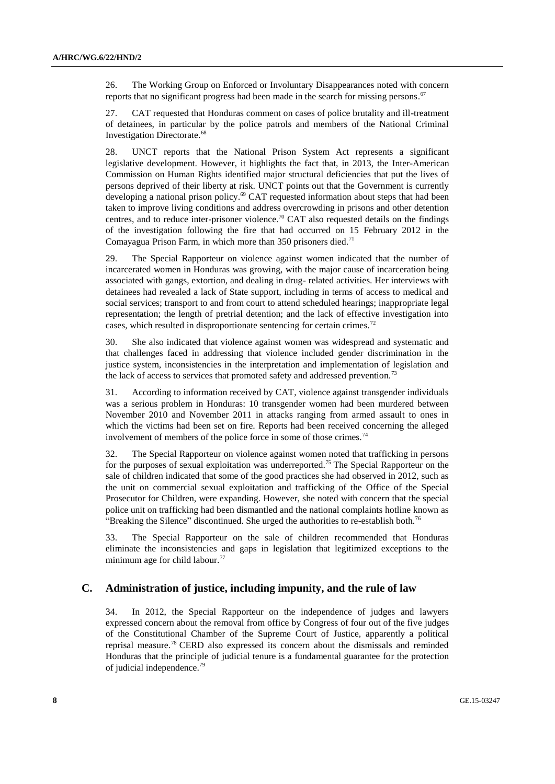26. The Working Group on Enforced or Involuntary Disappearances noted with concern reports that no significant progress had been made in the search for missing persons.<sup>67</sup>

27. CAT requested that Honduras comment on cases of police brutality and ill-treatment of detainees, in particular by the police patrols and members of the National Criminal Investigation Directorate.<sup>68</sup>

28. UNCT reports that the National Prison System Act represents a significant legislative development. However, it highlights the fact that, in 2013, the Inter-American Commission on Human Rights identified major structural deficiencies that put the lives of persons deprived of their liberty at risk. UNCT points out that the Government is currently developing a national prison policy.<sup>69</sup> CAT requested information about steps that had been taken to improve living conditions and address overcrowding in prisons and other detention centres, and to reduce inter-prisoner violence.<sup>70</sup> CAT also requested details on the findings of the investigation following the fire that had occurred on 15 February 2012 in the Comayagua Prison Farm, in which more than  $350$  prisoners died.<sup>71</sup>

29. The Special Rapporteur on violence against women indicated that the number of incarcerated women in Honduras was growing, with the major cause of incarceration being associated with gangs, extortion, and dealing in drug- related activities. Her interviews with detainees had revealed a lack of State support, including in terms of access to medical and social services; transport to and from court to attend scheduled hearings; inappropriate legal representation; the length of pretrial detention; and the lack of effective investigation into cases, which resulted in disproportionate sentencing for certain crimes.<sup>72</sup>

30. She also indicated that violence against women was widespread and systematic and that challenges faced in addressing that violence included gender discrimination in the justice system, inconsistencies in the interpretation and implementation of legislation and the lack of access to services that promoted safety and addressed prevention.<sup>73</sup>

31. According to information received by CAT, violence against transgender individuals was a serious problem in Honduras: 10 transgender women had been murdered between November 2010 and November 2011 in attacks ranging from armed assault to ones in which the victims had been set on fire. Reports had been received concerning the alleged involvement of members of the police force in some of those crimes.<sup>74</sup>

32. The Special Rapporteur on violence against women noted that trafficking in persons for the purposes of sexual exploitation was underreported.<sup>75</sup> The Special Rapporteur on the sale of children indicated that some of the good practices she had observed in 2012, such as the unit on commercial sexual exploitation and trafficking of the Office of the Special Prosecutor for Children, were expanding. However, she noted with concern that the special police unit on trafficking had been dismantled and the national complaints hotline known as "Breaking the Silence" discontinued. She urged the authorities to re-establish both.<sup>76</sup>

33. The Special Rapporteur on the sale of children recommended that Honduras eliminate the inconsistencies and gaps in legislation that legitimized exceptions to the minimum age for child labour.<sup>77</sup>

#### **C. Administration of justice, including impunity, and the rule of law**

34. In 2012, the Special Rapporteur on the independence of judges and lawyers expressed concern about the removal from office by Congress of four out of the five judges of the Constitutional Chamber of the Supreme Court of Justice, apparently a political reprisal measure. <sup>78</sup> CERD also expressed its concern about the dismissals and reminded Honduras that the principle of judicial tenure is a fundamental guarantee for the protection of judicial independence. 79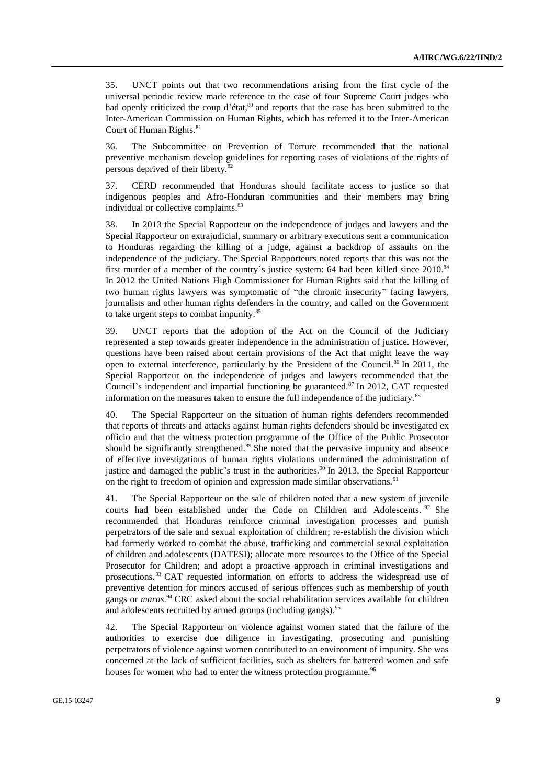35. UNCT points out that two recommendations arising from the first cycle of the universal periodic review made reference to the case of four Supreme Court judges who had openly criticized the coup d'état,<sup>80</sup> and reports that the case has been submitted to the Inter-American Commission on Human Rights, which has referred it to the Inter-American Court of Human Rights. 81

36. The Subcommittee on Prevention of Torture recommended that the national preventive mechanism develop guidelines for reporting cases of violations of the rights of persons deprived of their liberty.<sup>82</sup>

37. CERD recommended that Honduras should facilitate access to justice so that indigenous peoples and Afro-Honduran communities and their members may bring individual or collective complaints.<sup>83</sup>

38. In 2013 the Special Rapporteur on the independence of judges and lawyers and the Special Rapporteur on extrajudicial, summary or arbitrary executions sent a communication to Honduras regarding the killing of a judge, against a backdrop of assaults on the independence of the judiciary. The Special Rapporteurs noted reports that this was not the first murder of a member of the country's justice system: 64 had been killed since 2010.<sup>84</sup> In 2012 the United Nations High Commissioner for Human Rights said that the killing of two human rights lawyers was symptomatic of "the chronic insecurity" facing lawyers, journalists and other human rights defenders in the country, and called on the Government to take urgent steps to combat impunity.<sup>85</sup>

39. UNCT reports that the adoption of the Act on the Council of the Judiciary represented a step towards greater independence in the administration of justice. However, questions have been raised about certain provisions of the Act that might leave the way open to external interference, particularly by the President of the Council.<sup>86</sup> In 2011, the Special Rapporteur on the independence of judges and lawyers recommended that the Council's independent and impartial functioning be guaranteed.<sup>87</sup> In 2012, CAT requested information on the measures taken to ensure the full independence of the judiciary.<sup>88</sup>

40. The Special Rapporteur on the situation of human rights defenders recommended that reports of threats and attacks against human rights defenders should be investigated ex officio and that the witness protection programme of the Office of the Public Prosecutor should be significantly strengthened.<sup>89</sup> She noted that the pervasive impunity and absence of effective investigations of human rights violations undermined the administration of justice and damaged the public's trust in the authorities.<sup>90</sup> In 2013, the Special Rapporteur on the right to freedom of opinion and expression made similar observations.<sup>91</sup>

41. The Special Rapporteur on the sale of children noted that a new system of juvenile courts had been established under the Code on Children and Adolescents. <sup>92</sup> She recommended that Honduras reinforce criminal investigation processes and punish perpetrators of the sale and sexual exploitation of children; re-establish the division which had formerly worked to combat the abuse, trafficking and commercial sexual exploitation of children and adolescents (DATESI); allocate more resources to the Office of the Special Prosecutor for Children; and adopt a proactive approach in criminal investigations and prosecutions. <sup>93</sup> CAT requested information on efforts to address the widespread use of preventive detention for minors accused of serious offences such as membership of youth gangs or *maras*. <sup>94</sup> CRC asked about the social rehabilitation services available for children and adolescents recruited by armed groups (including gangs).<sup>95</sup>

42. The Special Rapporteur on violence against women stated that the failure of the authorities to exercise due diligence in investigating, prosecuting and punishing perpetrators of violence against women contributed to an environment of impunity. She was concerned at the lack of sufficient facilities, such as shelters for battered women and safe houses for women who had to enter the witness protection programme.<sup>96</sup>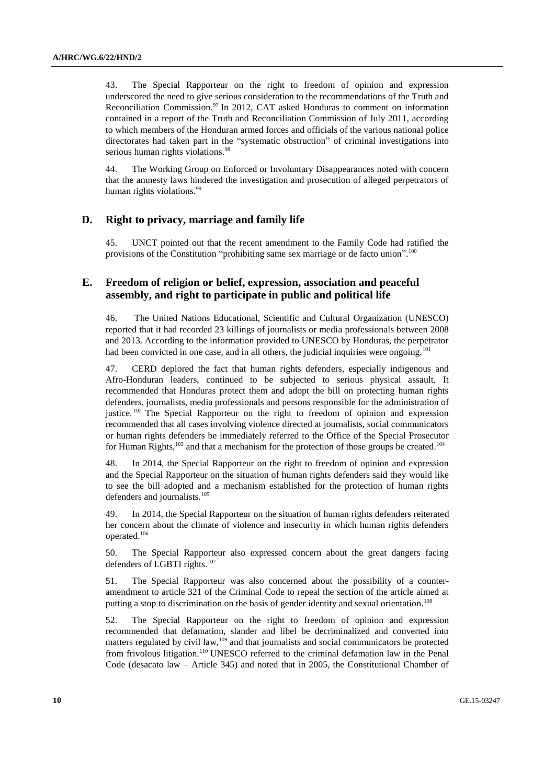43. The Special Rapporteur on the right to freedom of opinion and expression underscored the need to give serious consideration to the recommendations of the Truth and Reconciliation Commission.<sup>97</sup> In 2012, CAT asked Honduras to comment on information contained in a report of the Truth and Reconciliation Commission of July 2011, according to which members of the Honduran armed forces and officials of the various national police directorates had taken part in the "systematic obstruction" of criminal investigations into serious human rights violations.<sup>98</sup>

44. The Working Group on Enforced or Involuntary Disappearances noted with concern that the amnesty laws hindered the investigation and prosecution of alleged perpetrators of human rights violations.<sup>99</sup>

### **D. Right to privacy, marriage and family life**

45. UNCT pointed out that the recent amendment to the Family Code had ratified the provisions of the Constitution "prohibiting same sex marriage or de facto union".<sup>100</sup>

## **E. Freedom of religion or belief, expression, association and peaceful assembly, and right to participate in public and political life**

46. The United Nations Educational, Scientific and Cultural Organization (UNESCO) reported that it had recorded 23 killings of journalists or media professionals between 2008 and 2013. According to the information provided to UNESCO by Honduras, the perpetrator had been convicted in one case, and in all others, the judicial inquiries were ongoing.<sup>101</sup>

47. CERD deplored the fact that human rights defenders, especially indigenous and Afro-Honduran leaders, continued to be subjected to serious physical assault. It recommended that Honduras protect them and adopt the bill on protecting human rights defenders, journalists, media professionals and persons responsible for the administration of justice.<sup>102</sup> The Special Rapporteur on the right to freedom of opinion and expression recommended that all cases involving violence directed at journalists, social communicators or human rights defenders be immediately referred to the Office of the Special Prosecutor for Human Rights, $103$  and that a mechanism for the protection of those groups be created.<sup>104</sup>

48. In 2014, the Special Rapporteur on the right to freedom of opinion and expression and the Special Rapporteur on the situation of human rights defenders said they would like to see the bill adopted and a mechanism established for the protection of human rights defenders and journalists. 105

49. In 2014, the Special Rapporteur on the situation of human rights defenders reiterated her concern about the climate of violence and insecurity in which human rights defenders operated. 106

50. The Special Rapporteur also expressed concern about the great dangers facing defenders of LGBTI rights.<sup>107</sup>

51. The Special Rapporteur was also concerned about the possibility of a counteramendment to article 321 of the Criminal Code to repeal the section of the article aimed at putting a stop to discrimination on the basis of gender identity and sexual orientation.<sup>108</sup>

52. The Special Rapporteur on the right to freedom of opinion and expression recommended that defamation, slander and libel be decriminalized and converted into matters regulated by civil law,<sup>109</sup> and that journalists and social communicators be protected from frivolous litigation.<sup>110</sup> UNESCO referred to the criminal defamation law in the Penal Code (desacato law – Article 345) and noted that in 2005, the Constitutional Chamber of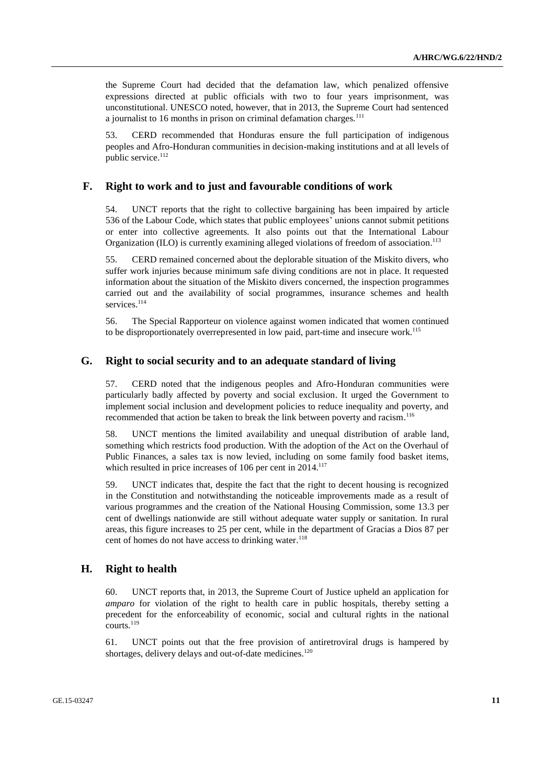the Supreme Court had decided that the defamation law, which penalized offensive expressions directed at public officials with two to four years imprisonment, was unconstitutional. UNESCO noted, however, that in 2013, the Supreme Court had sentenced a journalist to 16 months in prison on criminal defamation charges.<sup>111</sup>

53. CERD recommended that Honduras ensure the full participation of indigenous peoples and Afro-Honduran communities in decision-making institutions and at all levels of public service.<sup>112</sup>

#### **F. Right to work and to just and favourable conditions of work**

54. UNCT reports that the right to collective bargaining has been impaired by article 536 of the Labour Code, which states that public employees' unions cannot submit petitions or enter into collective agreements. It also points out that the International Labour Organization (ILO) is currently examining alleged violations of freedom of association.<sup>113</sup>

55. CERD remained concerned about the deplorable situation of the Miskito divers, who suffer work injuries because minimum safe diving conditions are not in place. It requested information about the situation of the Miskito divers concerned, the inspection programmes carried out and the availability of social programmes, insurance schemes and health services.<sup>114</sup>

56. The Special Rapporteur on violence against women indicated that women continued to be disproportionately overrepresented in low paid, part-time and insecure work.<sup>115</sup>

#### **G. Right to social security and to an adequate standard of living**

57. CERD noted that the indigenous peoples and Afro-Honduran communities were particularly badly affected by poverty and social exclusion. It urged the Government to implement social inclusion and development policies to reduce inequality and poverty, and recommended that action be taken to break the link between poverty and racism.<sup>116</sup>

58. UNCT mentions the limited availability and unequal distribution of arable land, something which restricts food production. With the adoption of the Act on the Overhaul of Public Finances, a sales tax is now levied, including on some family food basket items, which resulted in price increases of 106 per cent in 2014.<sup>117</sup>

59. UNCT indicates that, despite the fact that the right to decent housing is recognized in the Constitution and notwithstanding the noticeable improvements made as a result of various programmes and the creation of the National Housing Commission, some 13.3 per cent of dwellings nationwide are still without adequate water supply or sanitation. In rural areas, this figure increases to 25 per cent, while in the department of Gracias a Dios 87 per cent of homes do not have access to drinking water. 118

### **H. Right to health**

60. UNCT reports that, in 2013, the Supreme Court of Justice upheld an application for *amparo* for violation of the right to health care in public hospitals, thereby setting a precedent for the enforceability of economic, social and cultural rights in the national courts. 119

61. UNCT points out that the free provision of antiretroviral drugs is hampered by shortages, delivery delays and out-of-date medicines.<sup>120</sup>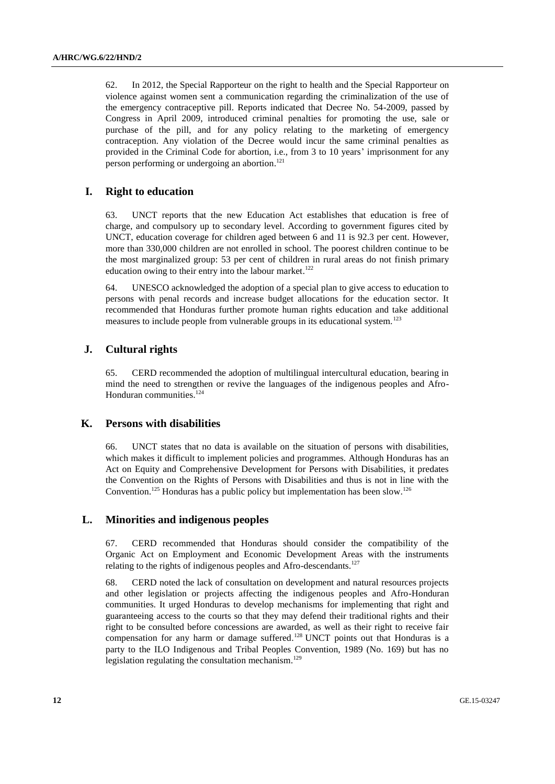62. In 2012, the Special Rapporteur on the right to health and the Special Rapporteur on violence against women sent a communication regarding the criminalization of the use of the emergency contraceptive pill. Reports indicated that Decree No. 54-2009, passed by Congress in April 2009, introduced criminal penalties for promoting the use, sale or purchase of the pill, and for any policy relating to the marketing of emergency contraception. Any violation of the Decree would incur the same criminal penalties as provided in the Criminal Code for abortion, i.e., from 3 to 10 years' imprisonment for any person performing or undergoing an abortion. 121

## **I. Right to education**

63. UNCT reports that the new Education Act establishes that education is free of charge, and compulsory up to secondary level. According to government figures cited by UNCT, education coverage for children aged between 6 and 11 is 92.3 per cent. However, more than 330,000 children are not enrolled in school. The poorest children continue to be the most marginalized group: 53 per cent of children in rural areas do not finish primary education owing to their entry into the labour market.<sup>122</sup>

64. UNESCO acknowledged the adoption of a special plan to give access to education to persons with penal records and increase budget allocations for the education sector. It recommended that Honduras further promote human rights education and take additional measures to include people from vulnerable groups in its educational system.<sup>123</sup>

## **J. Cultural rights**

65. CERD recommended the adoption of multilingual intercultural education, bearing in mind the need to strengthen or revive the languages of the indigenous peoples and Afro-Honduran communities. 124

### **K. Persons with disabilities**

66. UNCT states that no data is available on the situation of persons with disabilities, which makes it difficult to implement policies and programmes. Although Honduras has an Act on Equity and Comprehensive Development for Persons with Disabilities, it predates the Convention on the Rights of Persons with Disabilities and thus is not in line with the Convention.<sup>125</sup> Honduras has a public policy but implementation has been slow.<sup>126</sup>

## **L. Minorities and indigenous peoples**

67. CERD recommended that Honduras should consider the compatibility of the Organic Act on Employment and Economic Development Areas with the instruments relating to the rights of indigenous peoples and Afro-descendants.<sup>127</sup>

68. CERD noted the lack of consultation on development and natural resources projects and other legislation or projects affecting the indigenous peoples and Afro-Honduran communities. It urged Honduras to develop mechanisms for implementing that right and guaranteeing access to the courts so that they may defend their traditional rights and their right to be consulted before concessions are awarded, as well as their right to receive fair compensation for any harm or damage suffered. <sup>128</sup> UNCT points out that Honduras is a party to the ILO Indigenous and Tribal Peoples Convention, 1989 (No. 169) but has no legislation regulating the consultation mechanism.<sup>129</sup>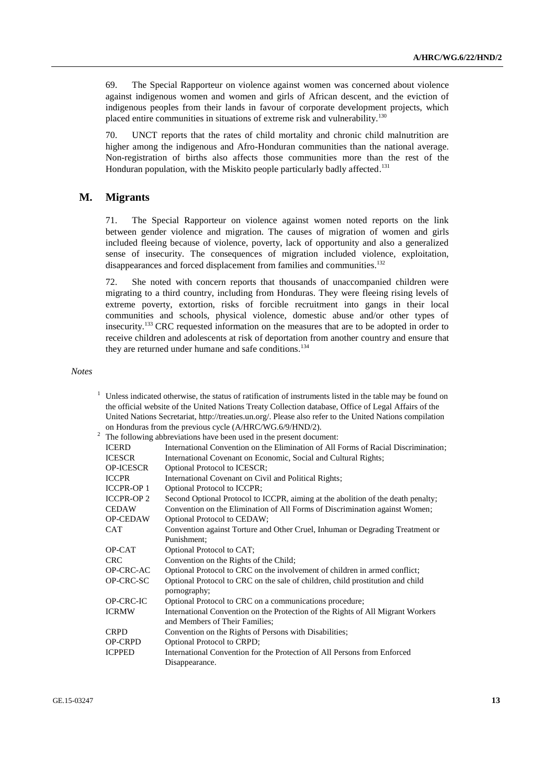69. The Special Rapporteur on violence against women was concerned about violence against indigenous women and women and girls of African descent, and the eviction of indigenous peoples from their lands in favour of corporate development projects, which placed entire communities in situations of extreme risk and vulnerability.<sup>130</sup>

70. UNCT reports that the rates of child mortality and chronic child malnutrition are higher among the indigenous and Afro-Honduran communities than the national average. Non-registration of births also affects those communities more than the rest of the Honduran population, with the Miskito people particularly badly affected.<sup>131</sup>

#### **M. Migrants**

71. The Special Rapporteur on violence against women noted reports on the link between gender violence and migration. The causes of migration of women and girls included fleeing because of violence, poverty, lack of opportunity and also a generalized sense of insecurity. The consequences of migration included violence, exploitation, disappearances and forced displacement from families and communities.<sup>132</sup>

72. She noted with concern reports that thousands of unaccompanied children were migrating to a third country, including from Honduras. They were fleeing rising levels of extreme poverty, extortion, risks of forcible recruitment into gangs in their local communities and schools, physical violence, domestic abuse and/or other types of insecurity.<sup>133</sup> CRC requested information on the measures that are to be adopted in order to receive children and adolescents at risk of deportation from another country and ensure that they are returned under humane and safe conditions.<sup>134</sup>

*Notes*

|                   | Unless indicated otherwise, the status of ratification of instruments listed in the table may be found on |
|-------------------|-----------------------------------------------------------------------------------------------------------|
|                   | the official website of the United Nations Treaty Collection database, Office of Legal Affairs of the     |
|                   | United Nations Secretariat, http://treaties.un.org/. Please also refer to the United Nations compilation  |
|                   | on Honduras from the previous cycle (A/HRC/WG.6/9/HND/2).                                                 |
|                   | The following abbreviations have been used in the present document:                                       |
| <b>ICERD</b>      | International Convention on the Elimination of All Forms of Racial Discrimination;                        |
| <b>ICESCR</b>     | International Covenant on Economic, Social and Cultural Rights;                                           |
| <b>OP-ICESCR</b>  | Optional Protocol to ICESCR;                                                                              |
| <b>ICCPR</b>      | International Covenant on Civil and Political Rights;                                                     |
| <b>ICCPR-OP1</b>  | Optional Protocol to ICCPR;                                                                               |
| <b>ICCPR-OP 2</b> | Second Optional Protocol to ICCPR, aiming at the abolition of the death penalty;                          |
| <b>CEDAW</b>      | Convention on the Elimination of All Forms of Discrimination against Women;                               |
| <b>OP-CEDAW</b>   | Optional Protocol to CEDAW;                                                                               |
| <b>CAT</b>        | Convention against Torture and Other Cruel, Inhuman or Degrading Treatment or                             |
|                   | Punishment:                                                                                               |
| OP-CAT            | Optional Protocol to CAT;                                                                                 |
| <b>CRC</b>        | Convention on the Rights of the Child;                                                                    |
| OP-CRC-AC         | Optional Protocol to CRC on the involvement of children in armed conflict;                                |
| OP-CRC-SC         | Optional Protocol to CRC on the sale of children, child prostitution and child<br>pornography;            |
| OP-CRC-IC         | Optional Protocol to CRC on a communications procedure;                                                   |
| <b>ICRMW</b>      | International Convention on the Protection of the Rights of All Migrant Workers                           |
|                   | and Members of Their Families;                                                                            |
| <b>CRPD</b>       | Convention on the Rights of Persons with Disabilities;                                                    |
| <b>OP-CRPD</b>    | Optional Protocol to CRPD;                                                                                |
| <b>ICPPED</b>     | International Convention for the Protection of All Persons from Enforced                                  |
|                   | Disappearance.                                                                                            |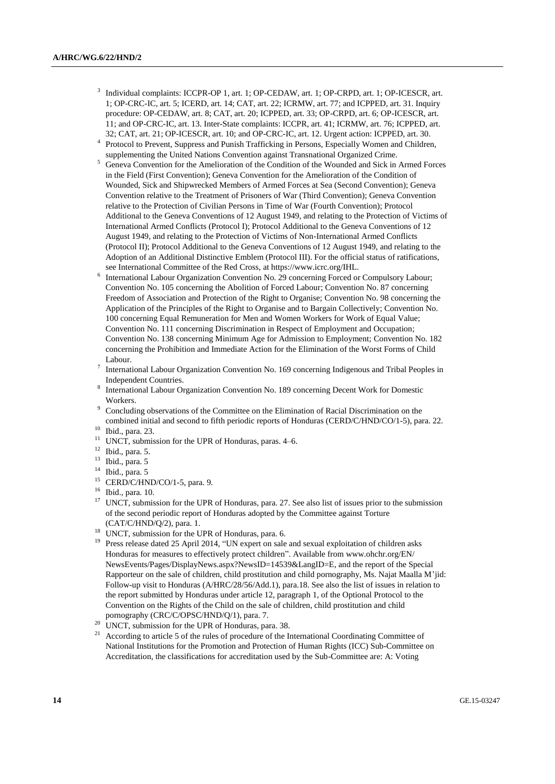- 3 Individual complaints: ICCPR-OP 1, art. 1; OP-CEDAW, art. 1; OP-CRPD, art. 1; OP-ICESCR, art. 1; OP-CRC-IC, art. 5; ICERD, art. 14; CAT, art. 22; ICRMW, art. 77; and ICPPED, art. 31. Inquiry procedure: OP-CEDAW, art. 8; CAT, art. 20; ICPPED, art. 33; OP-CRPD, art. 6; OP-ICESCR, art. 11; and OP-CRC-IC, art. 13. Inter-State complaints: ICCPR, art. 41; ICRMW, art. 76; ICPPED, art. 32; CAT, art. 21; OP-ICESCR, art. 10; and OP-CRC-IC, art. 12. Urgent action: ICPPED, art. 30.
- 4 Protocol to Prevent, Suppress and Punish Trafficking in Persons, Especially Women and Children, supplementing the United Nations Convention against Transnational Organized Crime.
- <sup>5</sup> Geneva Convention for the Amelioration of the Condition of the Wounded and Sick in Armed Forces in the Field (First Convention); Geneva Convention for the Amelioration of the Condition of Wounded, Sick and Shipwrecked Members of Armed Forces at Sea (Second Convention); Geneva Convention relative to the Treatment of Prisoners of War (Third Convention); Geneva Convention relative to the Protection of Civilian Persons in Time of War (Fourth Convention); Protocol Additional to the Geneva Conventions of 12 August 1949, and relating to the Protection of Victims of International Armed Conflicts (Protocol I); Protocol Additional to the Geneva Conventions of 12 August 1949, and relating to the Protection of Victims of Non-International Armed Conflicts (Protocol II); Protocol Additional to the Geneva Conventions of 12 August 1949, and relating to the Adoption of an Additional Distinctive Emblem (Protocol III). For the official status of ratifications, see International Committee of the Red Cross, at https://www.icrc.org/IHL.
- 6 International Labour Organization Convention No. 29 concerning Forced or Compulsory Labour; Convention No. 105 concerning the Abolition of Forced Labour; Convention No. 87 concerning Freedom of Association and Protection of the Right to Organise; Convention No. 98 concerning the Application of the Principles of the Right to Organise and to Bargain Collectively; Convention No. 100 concerning Equal Remuneration for Men and Women Workers for Work of Equal Value; Convention No. 111 concerning Discrimination in Respect of Employment and Occupation; Convention No. 138 concerning Minimum Age for Admission to Employment; Convention No. 182 concerning the Prohibition and Immediate Action for the Elimination of the Worst Forms of Child Labour.
- 7 International Labour Organization Convention No. 169 concerning Indigenous and Tribal Peoples in Independent Countries.
- 8 International Labour Organization Convention No. 189 concerning Decent Work for Domestic Workers.
- <sup>9</sup> Concluding observations of the Committee on the Elimination of Racial Discrimination on the combined initial and second to fifth periodic reports of Honduras (CERD/C/HND/CO/1-5), para. 22.
- <sup>10</sup> Ibid., para. 23.
- $11$  UNCT, submission for the UPR of Honduras, paras. 4–6.
- $\frac{12}{13}$  Ibid., para. 5.
- Ibid., para. 5
- <sup>14</sup> Ibid., para. 5<br><sup>15</sup> CERD/C/HN
- $^{15}$  CERD/C/HND/CO/1-5, para. 9.<br> $^{16}$  Jbid, para. 10
- $\frac{16}{17}$  Ibid., para. 10.
- <sup>17</sup> UNCT, submission for the UPR of Honduras, para. 27. See also list of issues prior to the submission of the second periodic report of Honduras adopted by the Committee against Torture (CAT/C/HND/Q/2), para. 1.
- <sup>18</sup> UNCT, submission for the UPR of Honduras, para. 6.
- <sup>19</sup> Press release dated 25 April 2014, "UN expert on sale and sexual exploitation of children asks Honduras for measures to effectively protect children". Available from [www.ohchr.org/EN/](file:///C:/Users/Tradeng/AppData/Local/Downloads/www.ohchr.org/EN/NewsEvents/Pages/DisplayNews.aspx%3fNewsID=14539&LangID=E) [NewsEvents/Pages/DisplayNews.aspx?NewsID=14539&LangID=E,](file:///C:/Users/Tradeng/AppData/Local/Downloads/www.ohchr.org/EN/NewsEvents/Pages/DisplayNews.aspx%3fNewsID=14539&LangID=E) and the report of the Special Rapporteur on the sale of children, child prostitution and child pornography, Ms. Najat Maalla M'jid: Follow-up visit to Honduras (A/HRC/28/56/Add.1), para.18. See also the list of issues in relation to the report submitted by Honduras under article 12, paragraph 1, of the Optional Protocol to the Convention on the Rights of the Child on the sale of children, child prostitution and child pornography (CRC/C/OPSC/HND/Q/1), para. 7.
- <sup>20</sup> UNCT, submission for the UPR of Honduras, para. 38.
- <sup>21</sup> According to article 5 of the rules of procedure of the International Coordinating Committee of National Institutions for the Promotion and Protection of Human Rights (ICC) Sub-Committee on Accreditation, the classifications for accreditation used by the Sub-Committee are: A: Voting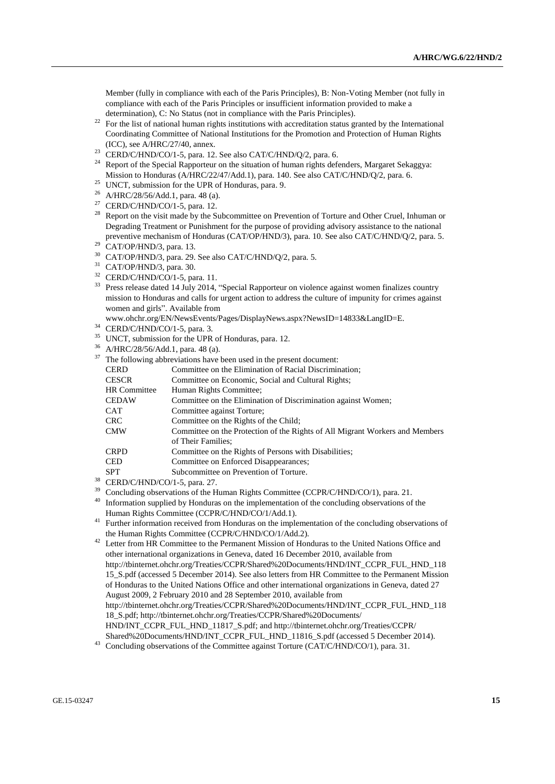Member (fully in compliance with each of the Paris Principles), B: Non-Voting Member (not fully in compliance with each of the Paris Principles or insufficient information provided to make a determination), C: No Status (not in compliance with the Paris Principles).

- <sup>22</sup> For the list of national human rights institutions with accreditation status granted by the International Coordinating Committee of National Institutions for the Promotion and Protection of Human Rights (ICC), see A/HRC/27/40, annex.
- <sup>23</sup> CERD/C/HND/CO/1-5, para. 12. See also CAT/C/HND/Q/2, para. 6.
- <sup>24</sup> Report of the Special Rapporteur on the situation of human rights defenders, Margaret Sekaggya: Mission to Honduras (A/HRC/22/47/Add.1), para. 140. See also CAT/C/HND/Q/2, para. 6.
- <sup>25</sup> UNCT, submission for the UPR of Honduras, para. 9.
- <sup>26</sup> A/HRC/28/56/Add.1, para. 48 (a).
- <sup>27</sup> CERD/C/HND/CO/1-5, para. 12.
- <sup>28</sup> Report on the visit made by the Subcommittee on Prevention of Torture and Other Cruel, Inhuman or Degrading Treatment or Punishment for the purpose of providing advisory assistance to the national preventive mechanism of Honduras (CAT/OP/HND/3), para. 10. See also CAT/C/HND/Q/2, para. 5.
- $29$  CAT/OP/HND/3, para. 13.
- <sup>30</sup> CAT/OP/HND/3, para. 29. See also CAT/C/HND/Q/2, para. 5.
- <sup>31</sup> CAT/OP/HND/3, para. 30.
- <sup>32</sup> CERD/C/HND/CO/1-5, para. 11.
- <sup>33</sup> Press release dated 14 July 2014, "Special Rapporteur on violence against women finalizes country mission to Honduras and calls for urgent action to address the culture of impunity for crimes against women and girls". Available from
- www.ohchr.org/EN/NewsEvents/Pages/DisplayNews.aspx?NewsID=14833&LangID=E.
- <sup>34</sup> CERD/C/HND/CO/1-5, para. 3.
- <sup>35</sup> UNCT, submission for the UPR of Honduras, para. 12.
- <sup>36</sup> A/HRC/28/56/Add.1, para. 48 (a).
- $37$  The following abbreviations have been used in the present document:

| <b>CERD</b>         | Committee on the Elimination of Racial Discrimination;                       |
|---------------------|------------------------------------------------------------------------------|
| <b>CESCR</b>        | Committee on Economic, Social and Cultural Rights;                           |
| <b>HR</b> Committee | Human Rights Committee;                                                      |
| <b>CEDAW</b>        | Committee on the Elimination of Discrimination against Women;                |
| CAT                 | Committee against Torture;                                                   |
| <b>CRC</b>          | Committee on the Rights of the Child:                                        |
| <b>CMW</b>          | Committee on the Protection of the Rights of All Migrant Workers and Members |
|                     |                                                                              |

- of Their Families;
- CRPD Committee on the Rights of Persons with Disabilities;
- CED Committee on Enforced Disappearances;
- SPT Subcommittee on Prevention of Torture.
- $^{38}$  CERD/C/HND/CO/1-5, para. 27.
- <sup>39</sup> Concluding observations of the Human Rights Committee (CCPR/C/HND/CO/1), para. 21.<br><sup>40</sup> Information supplied by Hondyres on the implementation of the concluding observations of
- Information supplied by Honduras on the implementation of the concluding observations of the Human Rights Committee (CCPR/C/HND/CO/1/Add.1).
- <sup>41</sup> Further information received from Honduras on the implementation of the concluding observations of the Human Rights Committee (CCPR/C/HND/CO/1/Add.2).
- <sup>42</sup> Letter from HR Committee to the Permanent Mission of Honduras to the United Nations Office and other international organizations in Geneva, dated 16 December 2010, available from http://tbinternet.ohchr.org/Treaties/CCPR/Shared%20Documents/HND/INT\_CCPR\_FUL\_HND\_118 15\_S.pdf (accessed 5 December 2014). See also letters from HR Committee to the Permanent Mission of Honduras to the United Nations Office and other international organizations in Geneva, dated 27 August 2009, 2 February 2010 and 28 September 2010, available from [http://tbinternet.ohchr.org/Treaties/CCPR/Shared%20Documents/HND/INT\\_CCPR\\_FUL\\_HND\\_118](http://tbinternet.ohchr.org/Treaties/CCPR/Shared%20Documents/HND/INT_CCPR_FUL_HND_11818_S.pdf) [18\\_S.pdf;](http://tbinternet.ohchr.org/Treaties/CCPR/Shared%20Documents/HND/INT_CCPR_FUL_HND_11818_S.pdf) [http://tbinternet.ohchr.org/Treaties/CCPR/Shared%20Documents/](http://tbinternet.ohchr.org/Treaties/CCPR/Shared%20Documents/HND/INT_CCPR_FUL_HND_11817_S.pdf) [HND/INT\\_CCPR\\_FUL\\_HND\\_11817\\_S.pdf;](http://tbinternet.ohchr.org/Treaties/CCPR/Shared%20Documents/HND/INT_CCPR_FUL_HND_11817_S.pdf) and http://tbinternet.ohchr.org/Treaties/CCPR/ Shared%20Documents/HND/INT\_CCPR\_FUL\_HND\_11816\_S.pdf (accessed 5 December 2014).
- Concluding observations of the Committee against Torture (CAT/C/HND/CO/1), para. 31.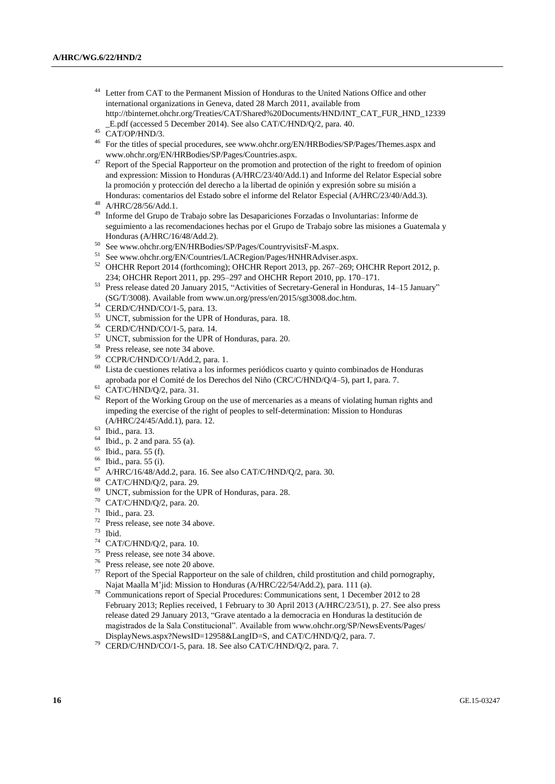Letter from CAT to the Permanent Mission of Honduras to the United Nations Office and other international organizations in Geneva, dated 28 March 2011, available from http://tbinternet.ohchr.org/Treaties/CAT/Shared%20Documents/HND/INT\_CAT\_FUR\_HND\_12339 \_E.pdf (accessed 5 December 2014). See also CAT/C/HND/Q/2, para. 40.

- <sup>46</sup> For the titles of special procedures, see www.ohchr.org/EN/HRBodies/SP/Pages/Themes.aspx and www.ohchr.org/EN/HRBodies/SP/Pages/Countries.aspx.
- <sup>47</sup> Report of the Special Rapporteur on the promotion and protection of the right to freedom of opinion and expression: Mission to Honduras (A/HRC/23/40/Add.1) and Informe del Relator Especial sobre la promoción y protección del derecho a la libertad de opinión y expresión sobre su misión a Honduras: comentarios del Estado sobre el informe del Relator Especial (A/HRC/23/40/Add.3).
- <sup>48</sup> A/HRC/28/56/Add.1.
- <sup>49</sup> Informe del Grupo de Trabajo sobre las Desapariciones Forzadas o Involuntarias: Informe de seguimiento a las recomendaciones hechas por el Grupo de Trabajo sobre las misiones a Guatemala y Honduras (A/HRC/16/48/Add.2).
- <sup>50</sup> See www.ohchr.org/EN/HRBodies/SP/Pages/CountryvisitsF-M.aspx.<br> $^{51}$  See www.obsha.org/EN/Countries J. AC Devious Pages/HNHP Adviser
- See www.ohchr.org/EN/Countries/LACRegion/Pages/HNHRAdviser.aspx.
- $52$  OHCHR Report 2014 (forthcoming); OHCHR Report 2013, pp. 267–269; OHCHR Report 2012, p. 234; OHCHR Report 2011, pp. 295–297 and OHCHR Report 2010, pp. 170–171.
- <sup>53</sup> Press release dated 20 January 2015, "Activities of Secretary-General in Honduras, 14–15 January" (SG/T/3008). Available from www.un.org/press/en/2015/sgt3008.doc.htm.
- <sup>54</sup> CERD/C/HND/CO/1-5, para. 13.
- <sup>55</sup> UNCT, submission for the UPR of Honduras, para. 18.
- <sup>56</sup> CERD/C/HND/CO/1-5, para. 14.
- <sup>57</sup> UNCT, submission for the UPR of Honduras, para. 20.
- <sup>58</sup> Press release, see note 34 above.
- <sup>59</sup> CCPR/C/HND/CO/1/Add.2, para. 1.
- $60$  Lista de cuestiones relativa a los informes periódicos cuarto y quinto combinados de Honduras aprobada por el Comité de los Derechos del Niño (CRC/C/HND/Q/4–5), part I, para. 7.
- <sup>61</sup> CAT/C/HND/Q/2, para. 31.
- <sup>62</sup> Report of the Working Group on the use of mercenaries as a means of violating human rights and impeding the exercise of the right of peoples to self-determination: Mission to Honduras (A/HRC/24/45/Add.1), para. 12.
- <sup>63</sup> Ibid., para. 13.
- $64$  Ibid., p. 2 and para. 55 (a).
- <sup>65</sup> Ibid., para. 55 (f).
- <sup>66</sup> Ibid., para. 55 (i).
- <sup>67</sup> A/HRC/16/48/Add.2, para. 16. See also CAT/C/HND/Q/2, para. 30.
- <sup>68</sup> CAT/C/HND/Q/2, para. 29.
- <sup>69</sup> UNCT, submission for the UPR of Honduras, para. 28.
- <sup>70</sup> CAT/C/HND/Q/2, para. 20.
- $^{71}$  Ibid., para. 23.
- Press release, see note 34 above.
- <sup>73</sup> Ibid.
- <sup>74</sup> CAT/C/HND/Q/2, para. 10.
- <sup>75</sup> Press release, see note 34 above.
- <sup>76</sup> Press release, see note 20 above.
- <sup>77</sup> Report of the Special Rapporteur on the sale of children, child prostitution and child pornography, Najat Maalla M'jid: Mission to Honduras (A/HRC/22/54/Add.2), para. 111 (a).
- <sup>78</sup> Communications report of Special Procedures: Communications sent, 1 December 2012 to 28 February 2013; Replies received, 1 February to 30 April 2013 (A/HRC/23/51), p. 27. See also press release dated 29 January 2013, "Grave atentado a la democracia en Honduras la destitución de magistrados de la Sala Constitucional". Available fro[m www.ohchr.org/SP/NewsEvents/Pages/](file:///C:/Users/Tradeng/AppData/Local/Downloads/www.ohchr.org/SP/NewsEvents/Pages/DisplayNews.aspx%3fNewsID=12958&LangID=S) [DisplayNews.aspx?NewsID=12958&LangID=S,](file:///C:/Users/Tradeng/AppData/Local/Downloads/www.ohchr.org/SP/NewsEvents/Pages/DisplayNews.aspx%3fNewsID=12958&LangID=S) and CAT/C/HND/Q/2, para. 7.
- CERD/C/HND/CO/1-5, para. 18. See also CAT/C/HND/Q/2, para. 7.

 $45$  CAT/OP/HND/3.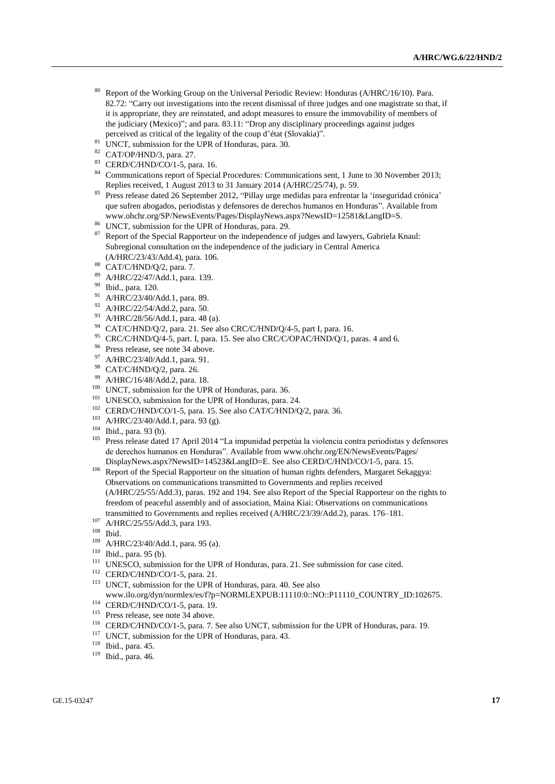- <sup>80</sup> Report of the Working Group on the Universal Periodic Review: Honduras (A/HRC/16/10). Para. 82.72: "Carry out investigations into the recent dismissal of three judges and one magistrate so that, if it is appropriate, they are reinstated, and adopt measures to ensure the immovability of members of the judiciary (Mexico)"; and para. 83.11: "Drop any disciplinary proceedings against judges perceived as critical of the legality of the coup d'état (Slovakia)".
- <sup>81</sup> UNCT, submission for the UPR of Honduras, para. 30.
- <sup>82</sup> CAT/OP/HND/3, para. 27.
- <sup>83</sup> CERD/C/HND/CO/1-5, para. 16.
- <sup>84</sup> Communications report of Special Procedures: Communications sent, 1 June to 30 November 2013; Replies received, 1 August 2013 to 31 January 2014 (A/HRC/25/74), p. 59.
- <sup>85</sup> Press release dated 26 September 2012, "Pillay urge medidas para enfrentar la 'inseguridad crónica' que sufren abogados, periodistas y defensores de derechos humanos en Honduras". Available from www.ohchr.org/SP/NewsEvents/Pages/DisplayNews.aspx?NewsID=12581&LangID=S.
- <sup>86</sup> UNCT, submission for the UPR of Honduras, para. 29.
- <sup>87</sup> Report of the Special Rapporteur on the independence of judges and lawyers, Gabriela Knaul: Subregional consultation on the independence of the judiciary in Central America (A/HRC/23/43/Add.4), para. 106.
- $^{88}$  CAT/C/HND/Q/2, para. 7.
- A/HRC/22/47/Add.1, para. 139.
- <sup>90</sup> Ibid., para. 120.
- <sup>91</sup> A/HRC/23/40/Add.1, para. 89.
- <sup>92</sup> A/HRC/22/54/Add.2, para. 50.
- <sup>93</sup> A/HRC/28/56/Add.1, para. 48 (a).
- <sup>94</sup> CAT/C/HND/Q/2, para. 21. See also CRC/C/HND/Q/4-5, part I, para. 16.
- <sup>95</sup> CRC/C/HND/Q/4-5, part. I, para. 15. See also CRC/C/OPAC/HND/Q/1, paras. 4 and 6.
- <sup>96</sup> Press release, see note 34 above.
- <sup>97</sup> A/HRC/23/40/Add.1, para. 91.
- <sup>98</sup> CAT/C/HND/Q/2, para. 26.
- <sup>99</sup> A/HRC/16/48/Add.2, para. 18.
- <sup>100</sup> UNCT, submission for the UPR of Honduras, para. 36.
- <sup>101</sup> UNESCO, submission for the UPR of Honduras, para. 24.
- <sup>102</sup> CERD/C/HND/CO/1-5, para. 15. See also CAT/C/HND/Q/2, para. 36.
- <sup>103</sup> A/HRC/23/40/Add.1, para. 93 (g).
- <sup>104</sup> Ibid., para. 93 (b).
- <sup>105</sup> Press release dated 17 April 2014 "La impunidad perpetúa la violencia contra periodistas y defensores de derechos humanos en Honduras". Available from [www.ohchr.org/EN/NewsEvents/Pages/](http://www.ohchr.org/EN/NewsEvents/Pages/DisplayNews.aspx?NewsID=14523&LangID=E) [DisplayNews.aspx?NewsID=14523&LangID=E.](http://www.ohchr.org/EN/NewsEvents/Pages/DisplayNews.aspx?NewsID=14523&LangID=E) See also CERD/C/HND/CO/1-5, para. 15.
- <sup>106</sup> Report of the Special Rapporteur on the situation of human rights defenders, Margaret Sekaggya: Observations on communications transmitted to Governments and replies received (A/HRC/25/55/Add.3), paras. 192 and 194. See also Report of the Special Rapporteur on the rights to freedom of peaceful assembly and of association, Maina Kiai: Observations on communications transmitted to Governments and replies received (A/HRC/23/39/Add.2), paras. 176–181.
- <sup>107</sup> A/HRC/25/55/Add.3, para 193.
- <sup>108</sup> Ibid.
- <sup>109</sup> A/HRC/23/40/Add.1, para. 95 (a).
- <sup>110</sup> Ibid., para. 95 (b).
- <sup>111</sup> UNESCO, submission for the UPR of Honduras, para. 21. See submission for case cited.
- <sup>112</sup> CERD/C/HND/CO/1-5, para. 21.
- <sup>113</sup> UNCT, submission for the UPR of Honduras, para. 40. See also www.ilo.org/dyn/normlex/es/f?p=NORMLEXPUB:11110:0::NO::P11110\_COUNTRY\_ID:102675.
- <sup>114</sup> CERD/C/HND/CO/1-5, para. 19.
- <sup>115</sup> Press release, see note 34 above.
- <sup>116</sup> CERD/C/HND/CO/1-5, para. 7. See also UNCT, submission for the UPR of Honduras, para. 19.
- <sup>117</sup> UNCT, submission for the UPR of Honduras, para. 43.
- <sup>118</sup> Ibid., para. 45.
- <sup>119</sup> Ibid., para. 46.